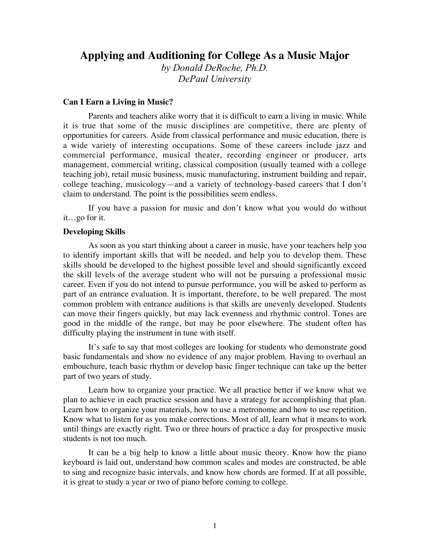# **Applying and Auditioning for College As a Music Major**

*by Donald DeRoche, Ph.D. DePaul University*

## **Can I Earn a Living in Music?**

Parents and teachers alike worry that it is difficult to earn a living in music. While it is true that some of the music disciplines are competitive, there are plenty of opportunities for careers. Aside from classical performance and music education, there is a wide variety of interesting occupations. Some of these careers include jazz and commercial performance, musical theater, recording engineer or producer, arts management, commercial writing, classical composition (usually teamed with a college teaching job), retail music business, music manufacturing, instrument building and repair, college teaching, musicology—and a variety of technology-based careers that I don't claim to understand. The point is the possibilities seem endless.

If you have a passion for music and don't know what you would do without it…go for it.

## **Developing Skills**

As soon as you start thinking about a career in music, have your teachers help you to identify important skills that will be needed, and help you to develop them. These skills should be developed to the highest possible level and should significantly exceed the skill levels of the average student who will not be pursuing a professional music career. Even if you do not intend to pursue performance, you will be asked to perform as part of an entrance evaluation. It is important, therefore, to be well prepared. The most common problem with entrance auditions is that skills are unevenly developed. Students can move their fingers quickly, but may lack evenness and rhythmic control. Tones are good in the middle of the range, but may be poor elsewhere. The student often has difficulty playing the instrument in tune with itself.

It's safe to say that most colleges are looking for students who demonstrate good basic fundamentals and show no evidence of any major problem. Having to overhaul an embouchure, teach basic rhythm or develop basic finger technique can take up the better part of two years of study.

Learn how to organize your practice. We all practice better if we know what we plan to achieve in each practice session and have a strategy for accomplishing that plan. Learn how to organize your materials, how to use a metronome and how to use repetition. Know what to listen for as you make corrections. Most of all, learn what it means to work until things are exactly right. Two or three hours of practice a day for prospective music students is not too much.

It can be a big help to know a little about music theory. Know how the piano keyboard is laid out, understand how common scales and modes are constructed, be able to sing and recognize basic intervals, and know how chords are formed. If at all possible, it is great to study a year or two of piano before coming to college.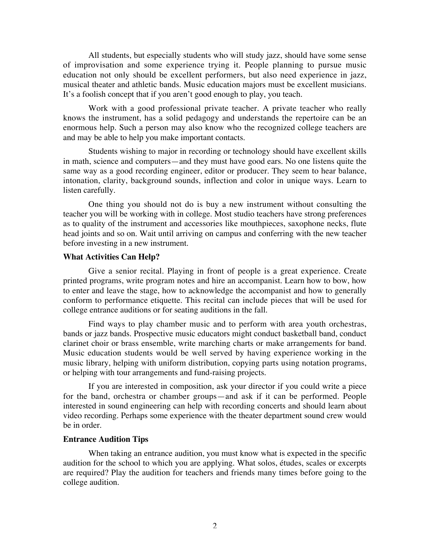All students, but especially students who will study jazz, should have some sense of improvisation and some experience trying it. People planning to pursue music education not only should be excellent performers, but also need experience in jazz, musical theater and athletic bands. Music education majors must be excellent musicians. It's a foolish concept that if you aren't good enough to play, you teach.

Work with a good professional private teacher. A private teacher who really knows the instrument, has a solid pedagogy and understands the repertoire can be an enormous help. Such a person may also know who the recognized college teachers are and may be able to help you make important contacts.

Students wishing to major in recording or technology should have excellent skills in math, science and computers—and they must have good ears. No one listens quite the same way as a good recording engineer, editor or producer. They seem to hear balance, intonation, clarity, background sounds, inflection and color in unique ways. Learn to listen carefully.

One thing you should not do is buy a new instrument without consulting the teacher you will be working with in college. Most studio teachers have strong preferences as to quality of the instrument and accessories like mouthpieces, saxophone necks, flute head joints and so on. Wait until arriving on campus and conferring with the new teacher before investing in a new instrument.

#### **What Activities Can Help?**

Give a senior recital. Playing in front of people is a great experience. Create printed programs, write program notes and hire an accompanist. Learn how to bow, how to enter and leave the stage, how to acknowledge the accompanist and how to generally conform to performance etiquette. This recital can include pieces that will be used for college entrance auditions or for seating auditions in the fall.

Find ways to play chamber music and to perform with area youth orchestras, bands or jazz bands. Prospective music educators might conduct basketball band, conduct clarinet choir or brass ensemble, write marching charts or make arrangements for band. Music education students would be well served by having experience working in the music library, helping with uniform distribution, copying parts using notation programs, or helping with tour arrangements and fund-raising projects.

If you are interested in composition, ask your director if you could write a piece for the band, orchestra or chamber groups—and ask if it can be performed. People interested in sound engineering can help with recording concerts and should learn about video recording. Perhaps some experience with the theater department sound crew would be in order.

#### **Entrance Audition Tips**

When taking an entrance audition, you must know what is expected in the specific audition for the school to which you are applying. What solos, études, scales or excerpts are required? Play the audition for teachers and friends many times before going to the college audition.